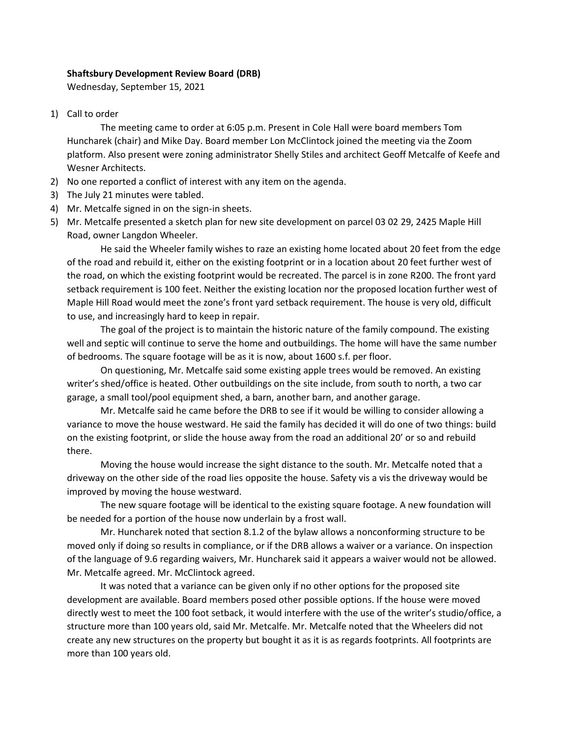## **Shaftsbury Development Review Board (DRB)**

Wednesday, September 15, 2021

1) Call to order

The meeting came to order at 6:05 p.m. Present in Cole Hall were board members Tom Huncharek (chair) and Mike Day. Board member Lon McClintock joined the meeting via the Zoom platform. Also present were zoning administrator Shelly Stiles and architect Geoff Metcalfe of Keefe and Wesner Architects.

- 2) No one reported a conflict of interest with any item on the agenda.
- 3) The July 21 minutes were tabled.
- 4) Mr. Metcalfe signed in on the sign-in sheets.
- 5) Mr. Metcalfe presented a sketch plan for new site development on parcel 03 02 29, 2425 Maple Hill Road, owner Langdon Wheeler.

He said the Wheeler family wishes to raze an existing home located about 20 feet from the edge of the road and rebuild it, either on the existing footprint or in a location about 20 feet further west of the road, on which the existing footprint would be recreated. The parcel is in zone R200. The front yard setback requirement is 100 feet. Neither the existing location nor the proposed location further west of Maple Hill Road would meet the zone's front yard setback requirement. The house is very old, difficult to use, and increasingly hard to keep in repair.

The goal of the project is to maintain the historic nature of the family compound. The existing well and septic will continue to serve the home and outbuildings. The home will have the same number of bedrooms. The square footage will be as it is now, about 1600 s.f. per floor.

On questioning, Mr. Metcalfe said some existing apple trees would be removed. An existing writer's shed/office is heated. Other outbuildings on the site include, from south to north, a two car garage, a small tool/pool equipment shed, a barn, another barn, and another garage.

Mr. Metcalfe said he came before the DRB to see if it would be willing to consider allowing a variance to move the house westward. He said the family has decided it will do one of two things: build on the existing footprint, or slide the house away from the road an additional 20' or so and rebuild there.

Moving the house would increase the sight distance to the south. Mr. Metcalfe noted that a driveway on the other side of the road lies opposite the house. Safety vis a vis the driveway would be improved by moving the house westward.

The new square footage will be identical to the existing square footage. A new foundation will be needed for a portion of the house now underlain by a frost wall.

Mr. Huncharek noted that section 8.1.2 of the bylaw allows a nonconforming structure to be moved only if doing so results in compliance, or if the DRB allows a waiver or a variance. On inspection of the language of 9.6 regarding waivers, Mr. Huncharek said it appears a waiver would not be allowed. Mr. Metcalfe agreed. Mr. McClintock agreed.

It was noted that a variance can be given only if no other options for the proposed site development are available. Board members posed other possible options. If the house were moved directly west to meet the 100 foot setback, it would interfere with the use of the writer's studio/office, a structure more than 100 years old, said Mr. Metcalfe. Mr. Metcalfe noted that the Wheelers did not create any new structures on the property but bought it as it is as regards footprints. All footprints are more than 100 years old.